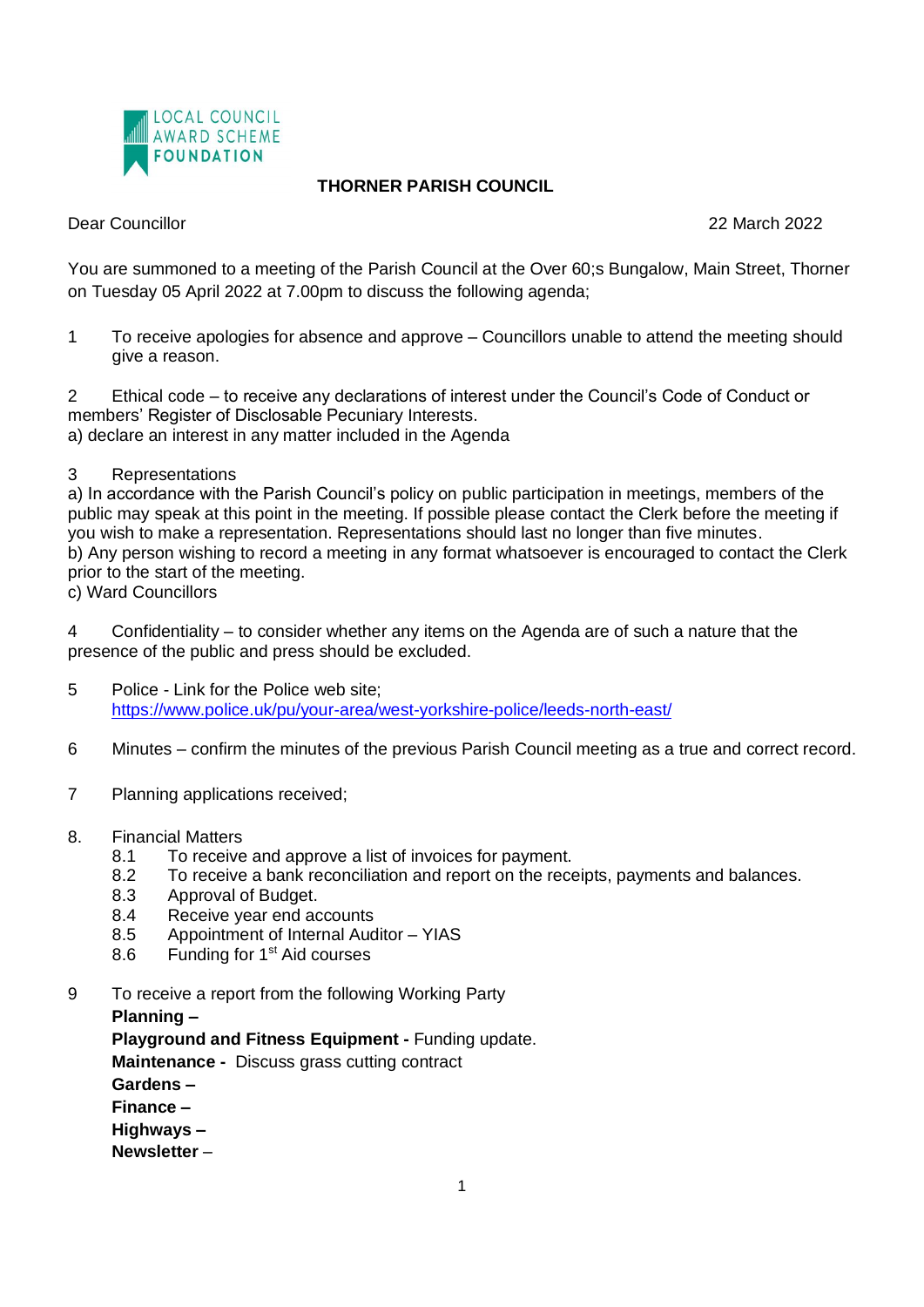

## **THORNER PARISH COUNCIL**

Dear Councillor 22 March 2022

You are summoned to a meeting of the Parish Council at the Over 60;s Bungalow, Main Street, Thorner on Tuesday 05 April 2022 at 7.00pm to discuss the following agenda;

1 To receive apologies for absence and approve – Councillors unable to attend the meeting should give a reason.

2 Ethical code – to receive any declarations of interest under the Council's Code of Conduct or members' Register of Disclosable Pecuniary Interests. a) declare an interest in any matter included in the Agenda

3 Representations

a) In accordance with the Parish Council's policy on public participation in meetings, members of the public may speak at this point in the meeting. If possible please contact the Clerk before the meeting if you wish to make a representation. Representations should last no longer than five minutes. b) Any person wishing to record a meeting in any format whatsoever is encouraged to contact the Clerk prior to the start of the meeting.

c) Ward Councillors

4 Confidentiality – to consider whether any items on the Agenda are of such a nature that the presence of the public and press should be excluded.

- 5 Police Link for the Police web site; <https://www.police.uk/pu/your-area/west-yorkshire-police/leeds-north-east/>
- 6 Minutes confirm the minutes of the previous Parish Council meeting as a true and correct record.
- 7 Planning applications received;
- 8. Financial Matters
	- 8.1 To receive and approve a list of invoices for payment.
	- 8.2 To receive a bank reconciliation and report on the receipts, payments and balances.
	- 8.3 Approval of Budget.
	- 8.4 Receive year end accounts
	- 8.5 Appointment of Internal Auditor YIAS
	- 8.6 Funding for 1<sup>st</sup> Aid courses
- 9 To receive a report from the following Working Party

**Planning –** 

**Playground and Fitness Equipment -** Funding update.

**Maintenance -** Discuss grass cutting contract

**Gardens –** 

**Finance –**

**Highways –**

**Newsletter** –